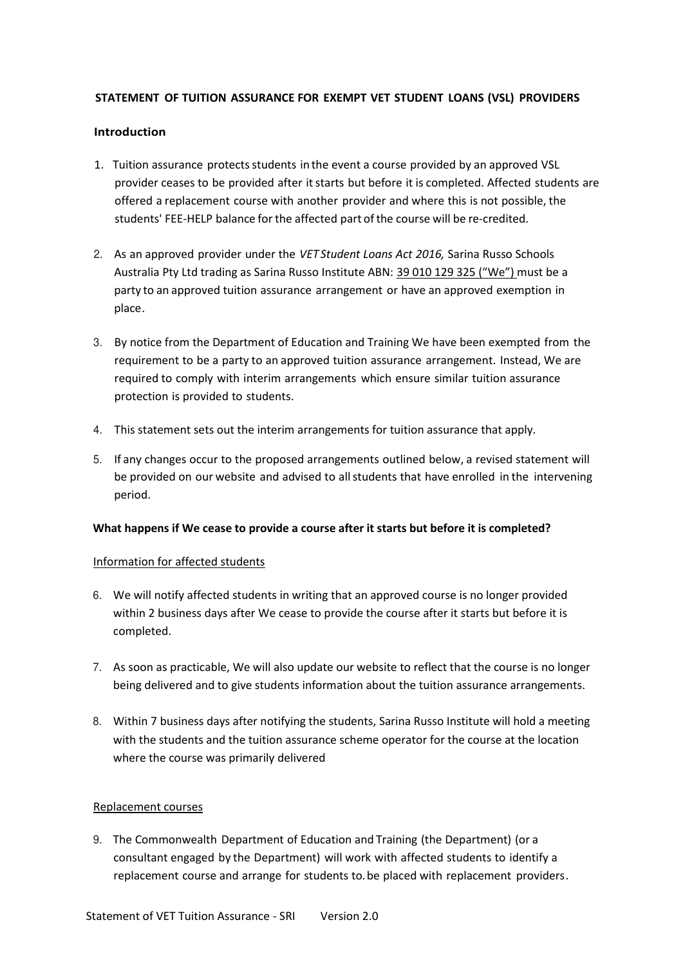### **STATEMENT OF TUITION ASSURANCE FOR EXEMPT VET STUDENT LOANS (VSL) PROVIDERS**

### **Introduction**

- 1. Tuition assurance protects students in the event a course provided by an approved VSL provider ceases to be provided after it starts but before it is completed. Affected students are offered a replacement course with another provider and where this is not possible, the students' FEE-HELP balance for the affected part of the course will be re-credited.
- 2. As an approved provider under the *VET Student Loans Act 2016,* Sarina Russo Schools Australia Pty Ltd trading as Sarina Russo Institute ABN: 39 010 129 325 ("We") must be a party to an approved tuition assurance arrangement or have an approved exemption in place.
- 3. By notice from the Department of Education and Training We have been exempted from the requirement to be a party to an approved tuition assurance arrangement. Instead, We are required to comply with interim arrangements which ensure similar tuition assurance protection is provided to students.
- 4. This statement sets out the interim arrangements for tuition assurance that apply.
- 5. If any changes occur to the proposed arrangements outlined below, a revised statement will be provided on our website and advised to all students that have enrolled in the intervening period.

### **What happens if We cease to provide a course after it starts but before it is completed?**

### Information for affected students

- 6. We will notify affected students in writing that an approved course is no longer provided within 2 business days after We cease to provide the course after it starts but before it is completed.
- 7. As soon as practicable, We will also update our website to reflect that the course is no longer being delivered and to give students information about the tuition assurance arrangements.
- 8. Within 7 business days after notifying the students, Sarina Russo Institute will hold a meeting with the students and the tuition assurance scheme operator for the course at the location where the course was primarily delivered

#### Replacement courses

9. The Commonwealth Department of Education and Training (the Department) (or a consultant engaged by the Department) will work with affected students to identify a replacement course and arrange for students to. be placed with replacement providers.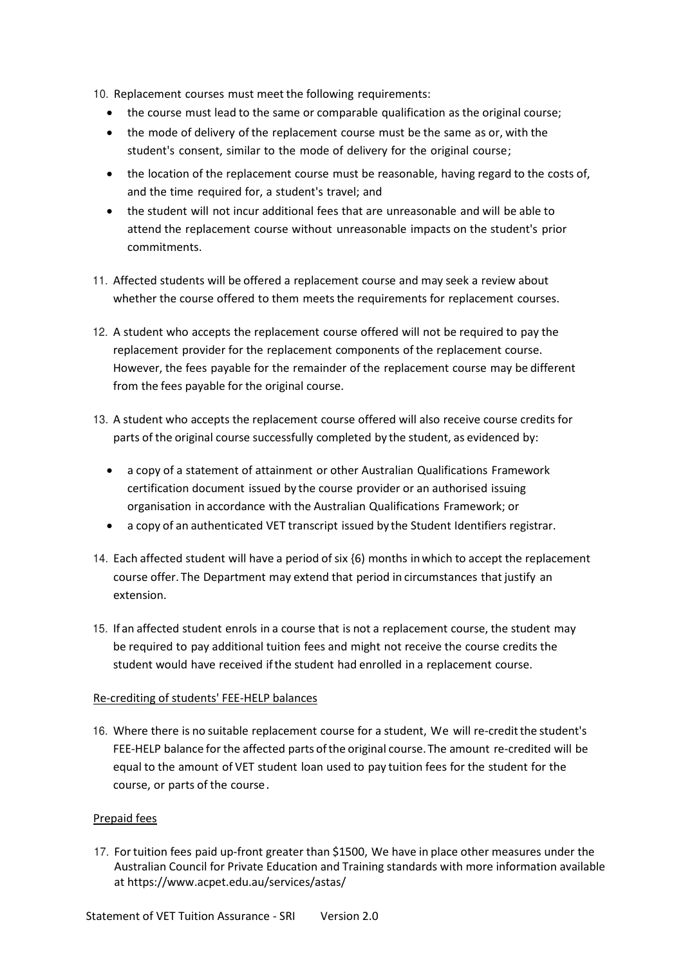10. Replacement courses must meet the following requirements:

- the course must lead to the same or comparable qualification as the original course;
- the mode of delivery of the replacement course must be the same as or, with the student's consent, similar to the mode of delivery for the original course;
- the location of the replacement course must be reasonable, having regard to the costs of, and the time required for, a student's travel; and
- the student will not incur additional fees that are unreasonable and will be able to attend the replacement course without unreasonable impacts on the student's prior commitments.
- 11. Affected students will be offered a replacement course and may seek a review about whether the course offered to them meets the requirements for replacement courses.
- 12. A student who accepts the replacement course offered will not be required to pay the replacement provider for the replacement components of the replacement course. However, the fees payable for the remainder of the replacement course may be different from the fees payable for the original course.
- 13. A student who accepts the replacement course offered will also receive course credits for parts of the original course successfully completed by the student, as evidenced by:
	- a copy of a statement of attainment or other Australian Qualifications Framework certification document issued by the course provider or an authorised issuing organisation in accordance with the Australian Qualifications Framework; or
	- a copy of an authenticated VET transcript issued by the Student Identifiers registrar.
- 14. Each affected student will have a period of six {6) months in which to accept the replacement course offer. The Department may extend that period in circumstances that justify an extension.
- 15. Ifan affected student enrols in a course that is not a replacement course, the student may be required to pay additional tuition fees and might not receive the course credits the student would have received if the student had enrolled in a replacement course.

# Re-crediting of students' FEE-HELP balances

16. Where there is no suitable replacement course for a student, We will re-credit the student's FEE-HELP balance for the affected parts of the original course. The amount re-credited will be equal to the amount of VET student loan used to pay tuition fees for the student for the course, or parts of the course .

# Prepaid fees

17. For tuition fees paid up-front greater than \$1500, We have in place other measures under the Australian Council for Private Education and Training standards with more information available at https://www.acpet.edu.au/services/astas/